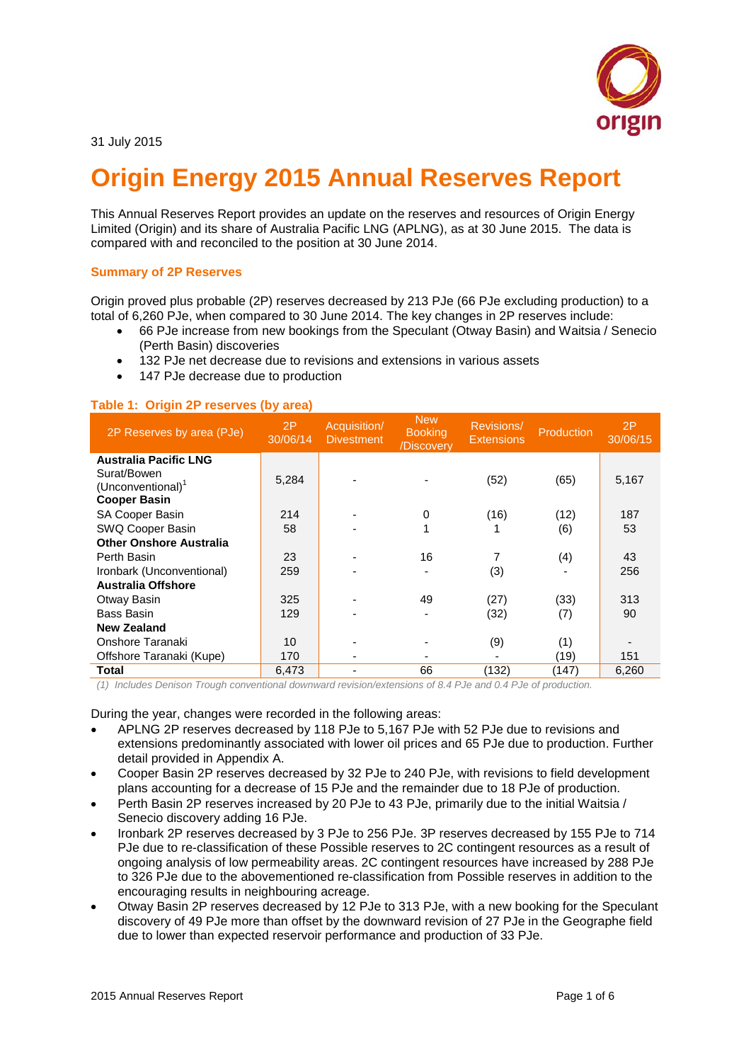

# **Origin Energy 2015 Annual Reserves Report**

This Annual Reserves Report provides an update on the reserves and resources of Origin Energy Limited (Origin) and its share of Australia Pacific LNG (APLNG), as at 30 June 2015. The data is compared with and reconciled to the position at 30 June 2014.

#### **Summary of 2P Reserves**

Origin proved plus probable (2P) reserves decreased by 213 PJe (66 PJe excluding production) to a total of 6,260 PJe, when compared to 30 June 2014. The key changes in 2P reserves include:

- 66 PJe increase from new bookings from the Speculant (Otway Basin) and Waitsia / Senecio (Perth Basin) discoveries
- 132 PJe net decrease due to revisions and extensions in various assets
- 147 PJe decrease due to production

# **Table 1: Origin 2P reserves (by area)**

| 2P Reserves by area (PJe)      | 2P<br>30/06/14 | Acquisition/<br><b>Divestment</b> | <b>New</b><br><b>Booking</b><br>/Discovery | Revisions/<br><b>Extensions</b> | Production | 2P<br>30/06/15 |
|--------------------------------|----------------|-----------------------------------|--------------------------------------------|---------------------------------|------------|----------------|
| <b>Australia Pacific LNG</b>   |                |                                   |                                            |                                 |            |                |
| Surat/Bowen                    | 5,284          |                                   |                                            | (52)                            | (65)       | 5,167          |
| (Unconventional) <sup>1</sup>  |                |                                   |                                            |                                 |            |                |
| <b>Cooper Basin</b>            |                |                                   |                                            |                                 |            |                |
| SA Cooper Basin                | 214            |                                   | $\Omega$                                   | (16)                            | (12)       | 187            |
| SWQ Cooper Basin               | 58             |                                   |                                            |                                 | (6)        | 53             |
| <b>Other Onshore Australia</b> |                |                                   |                                            |                                 |            |                |
| Perth Basin                    | 23             |                                   | 16                                         |                                 | (4)        | 43             |
| Ironbark (Unconventional)      | 259            |                                   |                                            | (3)                             |            | 256            |
| <b>Australia Offshore</b>      |                |                                   |                                            |                                 |            |                |
| Otway Basin                    | 325            |                                   | 49                                         | (27)                            | (33)       | 313            |
| <b>Bass Basin</b>              | 129            |                                   |                                            | (32)                            | (7)        | 90             |
| <b>New Zealand</b>             |                |                                   |                                            |                                 |            |                |
| Onshore Taranaki               | 10             |                                   |                                            | (9)                             | (1)        |                |
| Offshore Taranaki (Kupe)       | 170            | $\blacksquare$                    |                                            |                                 | (19)       | 151            |
| Total                          | 6,473          | $\blacksquare$                    | 66                                         | (132)                           | (147)      | 6,260          |

*(1) Includes Denison Trough conventional downward revision/extensions of 8.4 PJe and 0.4 PJe of production.* 

During the year, changes were recorded in the following areas:

- APLNG 2P reserves decreased by 118 PJe to 5,167 PJe with 52 PJe due to revisions and extensions predominantly associated with lower oil prices and 65 PJe due to production. Further detail provided in Appendix A.
- Cooper Basin 2P reserves decreased by 32 PJe to 240 PJe, with revisions to field development plans accounting for a decrease of 15 PJe and the remainder due to 18 PJe of production.
- Perth Basin 2P reserves increased by 20 PJe to 43 PJe, primarily due to the initial Waitsia / Senecio discovery adding 16 PJe.
- Ironbark 2P reserves decreased by 3 PJe to 256 PJe. 3P reserves decreased by 155 PJe to 714 PJe due to re-classification of these Possible reserves to 2C contingent resources as a result of ongoing analysis of low permeability areas. 2C contingent resources have increased by 288 PJe to 326 PJe due to the abovementioned re-classification from Possible reserves in addition to the encouraging results in neighbouring acreage.
- Otway Basin 2P reserves decreased by 12 PJe to 313 PJe, with a new booking for the Speculant discovery of 49 PJe more than offset by the downward revision of 27 PJe in the Geographe field due to lower than expected reservoir performance and production of 33 PJe.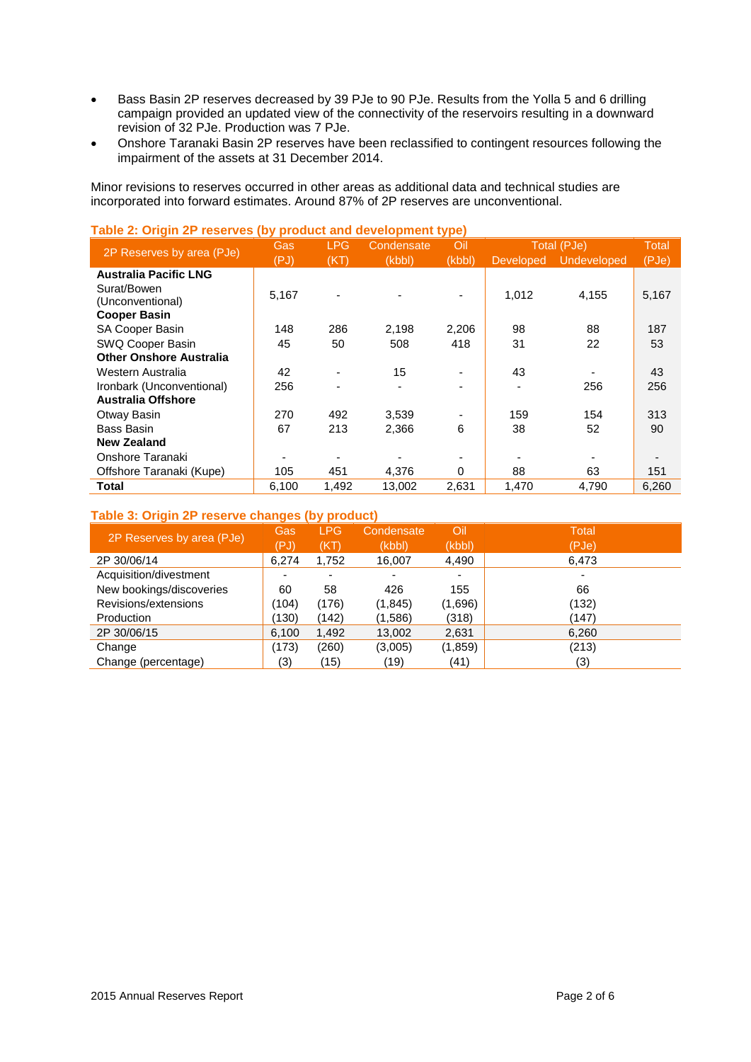- Bass Basin 2P reserves decreased by 39 PJe to 90 PJe. Results from the Yolla 5 and 6 drilling campaign provided an updated view of the connectivity of the reservoirs resulting in a downward revision of 32 PJe. Production was 7 PJe.
- Onshore Taranaki Basin 2P reserves have been reclassified to contingent resources following the impairment of the assets at 31 December 2014.

Minor revisions to reserves occurred in other areas as additional data and technical studies are incorporated into forward estimates. Around 87% of 2P reserves are unconventional.

| $\frac{1}{2}$ and $\frac{1}{2}$ and $\frac{1}{2}$ are not too (b) product and development type) | Gas   | <b>LPG</b> | Condensate | Oil      |                  | Total (PJe) | Total |
|-------------------------------------------------------------------------------------------------|-------|------------|------------|----------|------------------|-------------|-------|
| 2P Reserves by area (PJe)                                                                       | (PJ)  | (KT)       | (kbbl)     | (kbb)    | <b>Developed</b> | Undeveloped | (PJe) |
| <b>Australia Pacific LNG</b>                                                                    |       |            |            |          |                  |             |       |
| Surat/Bowen                                                                                     | 5,167 |            |            |          | 1,012            | 4,155       | 5,167 |
| (Unconventional)                                                                                |       |            |            |          |                  |             |       |
| <b>Cooper Basin</b>                                                                             |       |            |            |          |                  |             |       |
| <b>SA Cooper Basin</b>                                                                          | 148   | 286        | 2.198      | 2,206    | 98               | 88          | 187   |
| SWQ Cooper Basin                                                                                | 45    | 50         | 508        | 418      | 31               | 22          | 53    |
| <b>Other Onshore Australia</b>                                                                  |       |            |            |          |                  |             |       |
| Western Australia                                                                               | 42    |            | 15         |          | 43               |             | 43    |
| Ironbark (Unconventional)                                                                       | 256   |            |            |          |                  | 256         | 256   |
| <b>Australia Offshore</b>                                                                       |       |            |            |          |                  |             |       |
| Otway Basin                                                                                     | 270   | 492        | 3,539      |          | 159              | 154         | 313   |
| Bass Basin                                                                                      | 67    | 213        | 2,366      | 6        | 38               | 52          | 90    |
| New Zealand                                                                                     |       |            |            |          |                  |             |       |
| Onshore Taranaki                                                                                |       |            |            |          |                  |             |       |
| Offshore Taranaki (Kupe)                                                                        | 105   | 451        | 4,376      | $\Omega$ | 88               | 63          | 151   |
| Total                                                                                           | 6,100 | 1,492      | 13,002     | 2,631    | 1,470            | 4,790       | 6,260 |

# **Table 2: Origin 2P reserves (by product and development type)**

# **Table 3: Origin 2P reserve changes (by product)**

| 2P Reserves by area (PJe) | Gas<br>(PJ)              | <b>LPG</b><br>(KT)       | Condensate<br>(kbbl)     | Oil<br>(kbbl) | <b>Total</b><br>(PJe)    |
|---------------------------|--------------------------|--------------------------|--------------------------|---------------|--------------------------|
| 2P 30/06/14               | 6.274                    | 1,752                    | 16,007                   | 4,490         | 6,473                    |
| Acquisition/divestment    | $\overline{\phantom{a}}$ | $\overline{\phantom{0}}$ | $\overline{\phantom{0}}$ | ٠             | $\overline{\phantom{0}}$ |
| New bookings/discoveries  | 60                       | 58                       | 426                      | 155           | 66                       |
| Revisions/extensions      | (104)                    | (176)                    | (1, 845)                 | (1,696)       | (132)                    |
| Production                | (130)                    | (142)                    | (1,586)                  | (318)         | (147)                    |
| 2P 30/06/15               | 6.100                    | 1,492                    | 13,002                   | 2,631         | 6,260                    |
| Change                    | (173)                    | (260)                    | (3,005)                  | (1,859)       | (213)                    |
| Change (percentage)       | (3)                      | (15)                     | (19)                     | (41)          | (3)                      |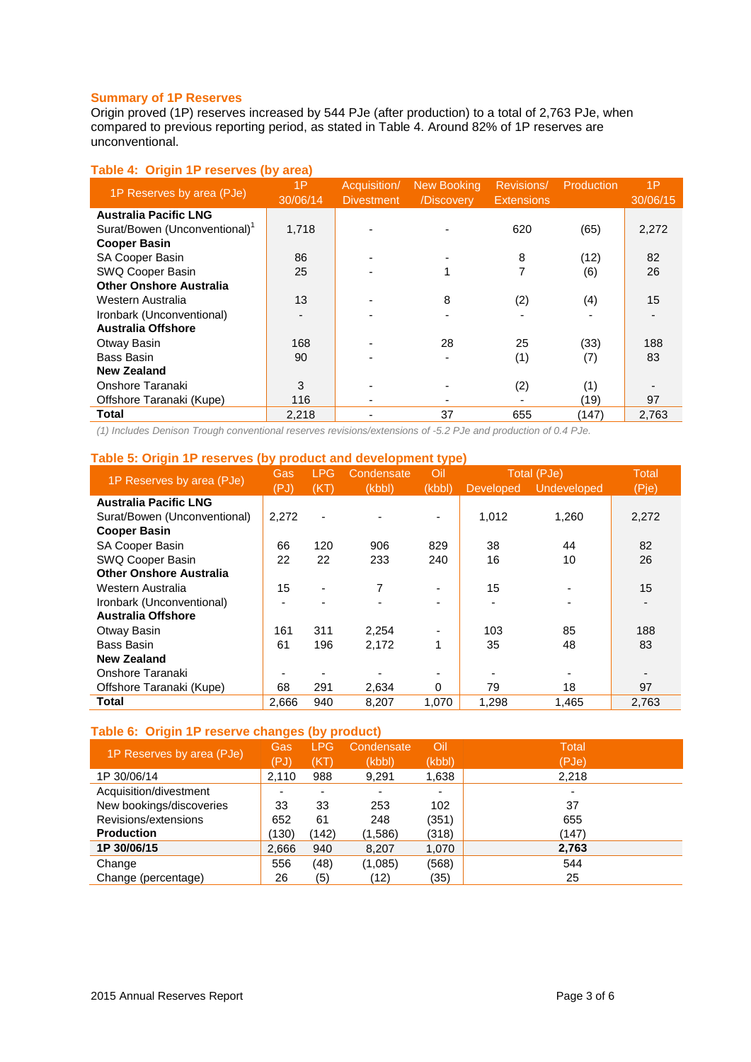# **Summary of 1P Reserves**

Origin proved (1P) reserves increased by 544 PJe (after production) to a total of 2,763 PJe, when compared to previous reporting period, as stated in Table 4. Around 82% of 1P reserves are unconventional.

# **Table 4: Origin 1P reserves (by area)**

| 1P Reserves by area (PJe)      | 1P<br>30/06/14 | Acquisition/<br><b>Divestment</b> | <b>New Booking</b><br>/Discovery | <b>Revisions/</b><br><b>Extensions</b> | Production | 1P<br>30/06/15 |
|--------------------------------|----------------|-----------------------------------|----------------------------------|----------------------------------------|------------|----------------|
| <b>Australia Pacific LNG</b>   |                |                                   |                                  |                                        |            |                |
| Surat/Bowen (Unconventional)'  | 1,718          |                                   |                                  | 620                                    | (65)       | 2,272          |
| <b>Cooper Basin</b>            |                |                                   |                                  |                                        |            |                |
| <b>SA Cooper Basin</b>         | 86             |                                   |                                  | 8                                      | (12)       | 82             |
| SWQ Cooper Basin               | 25             |                                   |                                  | 7                                      | (6)        | 26             |
| <b>Other Onshore Australia</b> |                |                                   |                                  |                                        |            |                |
| Western Australia              | 13             |                                   | 8                                | (2)                                    | (4)        | 15             |
| Ironbark (Unconventional)      |                |                                   |                                  |                                        |            |                |
| <b>Australia Offshore</b>      |                |                                   |                                  |                                        |            |                |
| Otway Basin                    | 168            |                                   | 28                               | 25                                     | (33)       | 188            |
| Bass Basin                     | 90             |                                   |                                  | (1)                                    | (7)        | 83             |
| <b>New Zealand</b>             |                |                                   |                                  |                                        |            |                |
| Onshore Taranaki               | 3              |                                   |                                  | (2)                                    | (1)        |                |
| Offshore Taranaki (Kupe)       | 116            |                                   |                                  |                                        | (19)       | 97             |
| Total                          | 2,218          |                                   | 37                               | 655                                    | (147)      | 2,763          |

*(1) Includes Denison Trough conventional reserves revisions/extensions of -5.2 PJe and production of 0.4 PJe.*

# **Table 5: Origin 1P reserves (by product and development type)**

|                                | Gas            | <b>LPG</b>     | Condensate | Oil    |                  | Total (PJe) | <b>Total</b> |
|--------------------------------|----------------|----------------|------------|--------|------------------|-------------|--------------|
| 1P Reserves by area (PJe)      | (PJ)           | (KT)           | (kbb)      | (kbbl) | <b>Developed</b> | Undeveloped | (Pje)        |
| <b>Australia Pacific LNG</b>   |                |                |            |        |                  |             |              |
| Surat/Bowen (Unconventional)   | 2,272          |                |            |        | 1.012            | 1.260       | 2,272        |
| <b>Cooper Basin</b>            |                |                |            |        |                  |             |              |
| SA Cooper Basin                | 66             | 120            | 906        | 829    | 38               | 44          | 82           |
| SWQ Cooper Basin               | 22             | 22             | 233        | 240    | 16               | 10          | 26           |
| <b>Other Onshore Australia</b> |                |                |            |        |                  |             |              |
| Western Australia              | 15             | $\blacksquare$ | 7          |        | 15               |             | 15           |
| Ironbark (Unconventional)      | $\blacksquare$ |                |            |        |                  |             |              |
| <b>Australia Offshore</b>      |                |                |            |        |                  |             |              |
| Otway Basin                    | 161            | 311            | 2,254      |        | 103              | 85          | 188          |
| Bass Basin                     | 61             | 196            | 2,172      |        | 35               | 48          | 83           |
| <b>New Zealand</b>             |                |                |            |        |                  |             |              |
| Onshore Taranaki               |                |                |            |        |                  |             |              |
| Offshore Taranaki (Kupe)       | 68             | 291            | 2,634      | 0      | 79               | 18          | 97           |
| Total                          | 2,666          | 940            | 8,207      | 1,070  | 1,298            | 1,465       | 2,763        |

# **Table 6: Origin 1P reserve changes (by product)**

| 1P Reserves by area (PJe) | Gas   | <b>LPG</b> | Condensate | Oil            | Total |
|---------------------------|-------|------------|------------|----------------|-------|
|                           | (PJ)  | (KT)       | (kbbl)     | (kbbl)         | (PJe) |
| 1P 30/06/14               | 2,110 | 988        | 9,291      | 1,638          | 2,218 |
| Acquisition/divestment    |       |            | -          | $\blacksquare$ |       |
| New bookings/discoveries  | 33    | 33         | 253        | 102            | 37    |
| Revisions/extensions      | 652   | 61         | 248        | (351)          | 655   |
| <b>Production</b>         | (130) | (142)      | (1,586)    | (318)          | (147) |
| 1P 30/06/15               | 2,666 | 940        | 8,207      | 1,070          | 2,763 |
| Change                    | 556   | (48)       | (1,085)    | (568)          | 544   |
| Change (percentage)       | 26    | (5)        | (12)       | (35)           | 25    |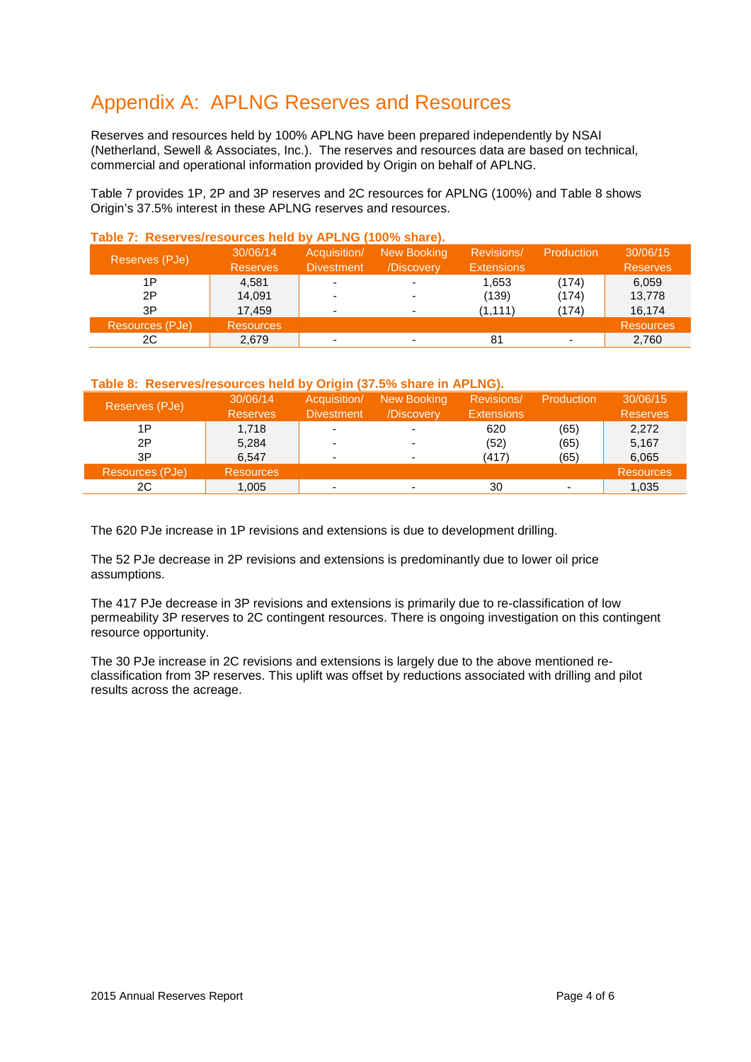# Appendix A: APLNG Reserves and Resources

Reserves and resources held by 100% APLNG have been prepared independently by NSAI (Netherland, Sewell & Associates, Inc.). The reserves and resources data are based on technical, commercial and operational information provided by Origin on behalf of APLNG.

Table 7 provides 1P, 2P and 3P reserves and 2C resources for APLNG (100%) and Table 8 shows Origin's 37.5% interest in these APLNG reserves and resources.

| Reserves (PJe)  | 30/06/14<br><b>Reserves</b> | Acquisition/<br><b>Divestment</b> | New Booking<br>/Discovery | <b>Revisions</b> /<br><b>Extensions</b> | Production | 30/06/15<br><b>Reserves</b> |
|-----------------|-----------------------------|-----------------------------------|---------------------------|-----------------------------------------|------------|-----------------------------|
| 1P              | 4.581                       | $\overline{\phantom{0}}$          | ٠                         | 1,653                                   | (174)      | 6,059                       |
| 2P              | 14,091                      | -                                 | ۰                         | (139)                                   | (174)      | 13,778                      |
| 3P              | 17.459                      | ٠                                 | ۰                         | (1, 111)                                | (174)      | 16,174                      |
| Resources (PJe) | <b>Resources</b>            |                                   |                           |                                         |            | <b>Resources</b>            |
| 2C              | 2,679                       | -                                 |                           | 81                                      |            | 2,760                       |

#### **Table 7: Reserves/resources held by APLNG (100% share).**

# **Table 8: Reserves/resources held by Origin (37.5% share in APLNG).**

| 30/06/14         | Acquisition/      | New Booking | Revisions/        | Production | 30/06/15         |
|------------------|-------------------|-------------|-------------------|------------|------------------|
| <b>Reserves</b>  | <b>Divestment</b> | /Discovery  | <b>Extensions</b> |            | <b>Reserves</b>  |
| 1.718            | -                 |             | 620               | (65)       | 2,272            |
| 5,284            | -                 |             | (52)              | (65)       | 5,167            |
| 6.547            |                   |             | (417)             | (65)       | 6,065            |
| <b>Resources</b> |                   |             |                   |            | <b>Resources</b> |
| 1,005            | -                 |             | 30                |            | 1,035            |
|                  |                   |             |                   |            |                  |

The 620 PJe increase in 1P revisions and extensions is due to development drilling.

The 52 PJe decrease in 2P revisions and extensions is predominantly due to lower oil price assumptions.

The 417 PJe decrease in 3P revisions and extensions is primarily due to re-classification of low permeability 3P reserves to 2C contingent resources. There is ongoing investigation on this contingent resource opportunity.

The 30 PJe increase in 2C revisions and extensions is largely due to the above mentioned reclassification from 3P reserves. This uplift was offset by reductions associated with drilling and pilot results across the acreage.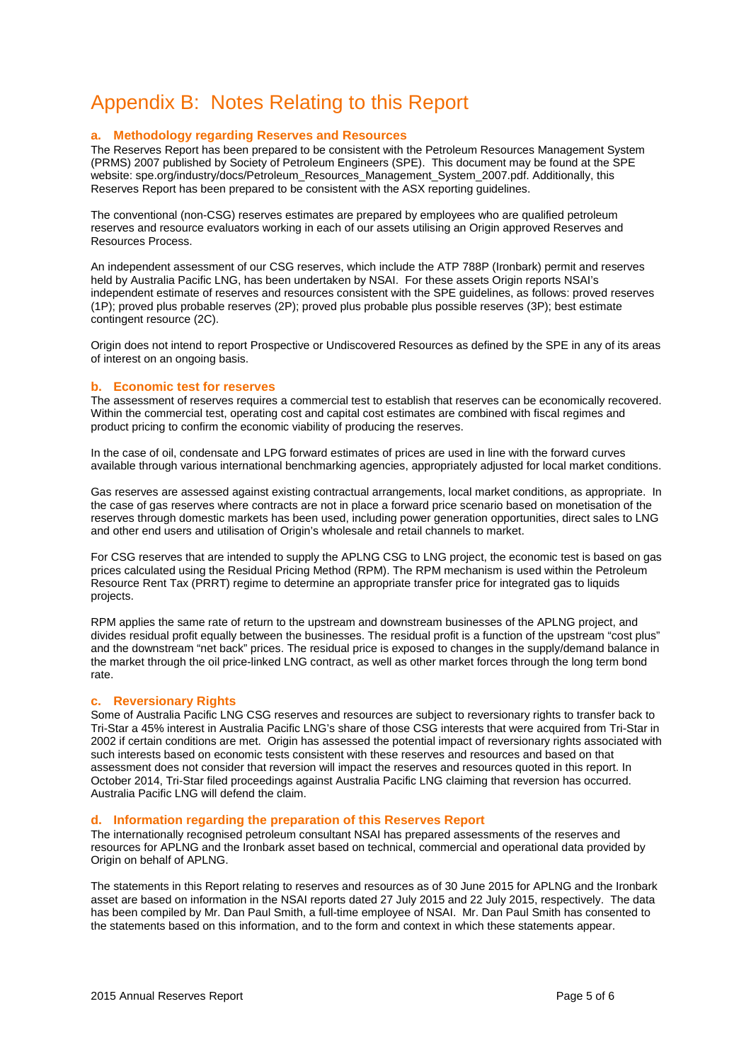# Appendix B: Notes Relating to this Report

#### **a. Methodology regarding Reserves and Resources**

The Reserves Report has been prepared to be consistent with the Petroleum Resources Management System (PRMS) 2007 published by Society of Petroleum Engineers (SPE). This document may be found at the SPE website: spe.org/industry/docs/Petroleum\_Resources\_Management\_System\_2007.pdf. Additionally, this Reserves Report has been prepared to be consistent with the ASX reporting guidelines.

The conventional (non-CSG) reserves estimates are prepared by employees who are qualified petroleum reserves and resource evaluators working in each of our assets utilising an Origin approved Reserves and Resources Process.

An independent assessment of our CSG reserves, which include the ATP 788P (Ironbark) permit and reserves held by Australia Pacific LNG, has been undertaken by NSAI. For these assets Origin reports NSAI's independent estimate of reserves and resources consistent with the SPE guidelines, as follows: proved reserves (1P); proved plus probable reserves (2P); proved plus probable plus possible reserves (3P); best estimate contingent resource (2C).

Origin does not intend to report Prospective or Undiscovered Resources as defined by the SPE in any of its areas of interest on an ongoing basis.

#### **b. Economic test for reserves**

The assessment of reserves requires a commercial test to establish that reserves can be economically recovered. Within the commercial test, operating cost and capital cost estimates are combined with fiscal regimes and product pricing to confirm the economic viability of producing the reserves.

In the case of oil, condensate and LPG forward estimates of prices are used in line with the forward curves available through various international benchmarking agencies, appropriately adjusted for local market conditions.

Gas reserves are assessed against existing contractual arrangements, local market conditions, as appropriate. In the case of gas reserves where contracts are not in place a forward price scenario based on monetisation of the reserves through domestic markets has been used, including power generation opportunities, direct sales to LNG and other end users and utilisation of Origin's wholesale and retail channels to market.

For CSG reserves that are intended to supply the APLNG CSG to LNG project, the economic test is based on gas prices calculated using the Residual Pricing Method (RPM). The RPM mechanism is used within the Petroleum Resource Rent Tax (PRRT) regime to determine an appropriate transfer price for integrated gas to liquids projects.

RPM applies the same rate of return to the upstream and downstream businesses of the APLNG project, and divides residual profit equally between the businesses. The residual profit is a function of the upstream "cost plus" and the downstream "net back" prices. The residual price is exposed to changes in the supply/demand balance in the market through the oil price-linked LNG contract, as well as other market forces through the long term bond rate.

#### **c. Reversionary Rights**

Some of Australia Pacific LNG CSG reserves and resources are subject to reversionary rights to transfer back to Tri-Star a 45% interest in Australia Pacific LNG's share of those CSG interests that were acquired from Tri-Star in 2002 if certain conditions are met. Origin has assessed the potential impact of reversionary rights associated with such interests based on economic tests consistent with these reserves and resources and based on that assessment does not consider that reversion will impact the reserves and resources quoted in this report. In October 2014, Tri-Star filed proceedings against Australia Pacific LNG claiming that reversion has occurred. Australia Pacific LNG will defend the claim.

#### **d. Information regarding the preparation of this Reserves Report**

The internationally recognised petroleum consultant NSAI has prepared assessments of the reserves and resources for APLNG and the Ironbark asset based on technical, commercial and operational data provided by Origin on behalf of APLNG.

The statements in this Report relating to reserves and resources as of 30 June 2015 for APLNG and the Ironbark asset are based on information in the NSAI reports dated 27 July 2015 and 22 July 2015, respectively. The data has been compiled by Mr. Dan Paul Smith, a full-time employee of NSAI. Mr. Dan Paul Smith has consented to the statements based on this information, and to the form and context in which these statements appear.